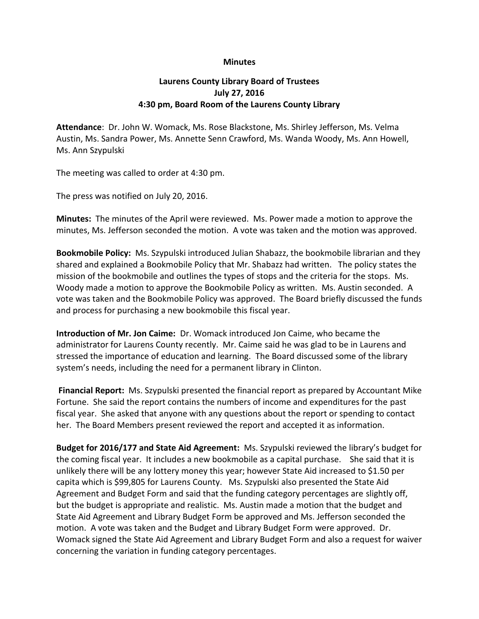## **Minutes**

## **Laurens County Library Board of Trustees July 27, 2016 4:30 pm, Board Room of the Laurens County Library**

**Attendance**: Dr. John W. Womack, Ms. Rose Blackstone, Ms. Shirley Jefferson, Ms. Velma Austin, Ms. Sandra Power, Ms. Annette Senn Crawford, Ms. Wanda Woody, Ms. Ann Howell, Ms. Ann Szypulski

The meeting was called to order at 4:30 pm.

The press was notified on July 20, 2016.

**Minutes:** The minutes of the April were reviewed. Ms. Power made a motion to approve the minutes, Ms. Jefferson seconded the motion. A vote was taken and the motion was approved.

**Bookmobile Policy:** Ms. Szypulski introduced Julian Shabazz, the bookmobile librarian and they shared and explained a Bookmobile Policy that Mr. Shabazz had written. The policy states the mission of the bookmobile and outlines the types of stops and the criteria for the stops. Ms. Woody made a motion to approve the Bookmobile Policy as written. Ms. Austin seconded. A vote was taken and the Bookmobile Policy was approved. The Board briefly discussed the funds and process for purchasing a new bookmobile this fiscal year.

**Introduction of Mr. Jon Caime:** Dr. Womack introduced Jon Caime, who became the administrator for Laurens County recently. Mr. Caime said he was glad to be in Laurens and stressed the importance of education and learning.The Board discussed some of the library system's needs, including the need for a permanent library in Clinton.

**Financial Report:** Ms. Szypulski presented the financial report as prepared by Accountant Mike Fortune. She said the report contains the numbers of income and expenditures for the past fiscal year. She asked that anyone with any questions about the report or spending to contact her. The Board Members present reviewed the report and accepted it as information.

**Budget for 2016/177 and State Aid Agreement:** Ms. Szypulski reviewed the library's budget for the coming fiscal year. It includes a new bookmobile as a capital purchase. She said that it is unlikely there will be any lottery money this year; however State Aid increased to \$1.50 per capita which is \$99,805 for Laurens County. Ms. Szypulski also presented the State Aid Agreement and Budget Form and said that the funding category percentages are slightly off, but the budget is appropriate and realistic. Ms. Austin made a motion that the budget and State Aid Agreement and Library Budget Form be approved and Ms. Jefferson seconded the motion. A vote was taken and the Budget and Library Budget Form were approved. Dr. Womack signed the State Aid Agreement and Library Budget Form and also a request for waiver concerning the variation in funding category percentages.